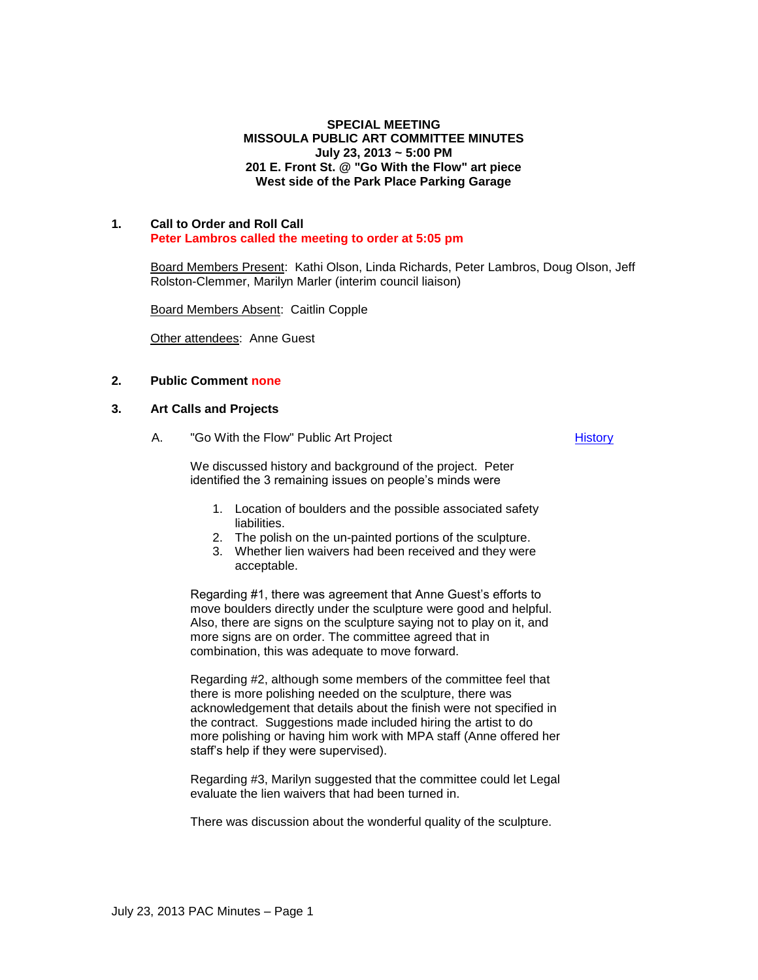## **SPECIAL MEETING MISSOULA PUBLIC ART COMMITTEE MINUTES July 23, 2013 ~ 5:00 PM 201 E. Front St. @ "Go With the Flow" art piece West side of the Park Place Parking Garage**

### **1. Call to Order and Roll Call Peter Lambros called the meeting to order at 5:05 pm**

Board Members Present: Kathi Olson, Linda Richards, Peter Lambros, Doug Olson, Jeff Rolston-Clemmer, Marilyn Marler (interim council liaison)

Board Members Absent: Caitlin Copple

Other attendees: Anne Guest

# **2. Public Comment none**

### **3. Art Calls and Projects**

A. "Go With the Flow" Public Art Project

**[History](http://missoula.siretechnologies.com/sirepub/item.aspx?itemid=12448)** 

We discussed history and background of the project. Peter identified the 3 remaining issues on people's minds were

- 1. Location of boulders and the possible associated safety liabilities.
- 2. The polish on the un-painted portions of the sculpture.
- 3. Whether lien waivers had been received and they were acceptable.

Regarding #1, there was agreement that Anne Guest's efforts to move boulders directly under the sculpture were good and helpful. Also, there are signs on the sculpture saying not to play on it, and more signs are on order. The committee agreed that in combination, this was adequate to move forward.

Regarding #2, although some members of the committee feel that there is more polishing needed on the sculpture, there was acknowledgement that details about the finish were not specified in the contract. Suggestions made included hiring the artist to do more polishing or having him work with MPA staff (Anne offered her staff's help if they were supervised).

Regarding #3, Marilyn suggested that the committee could let Legal evaluate the lien waivers that had been turned in.

There was discussion about the wonderful quality of the sculpture.